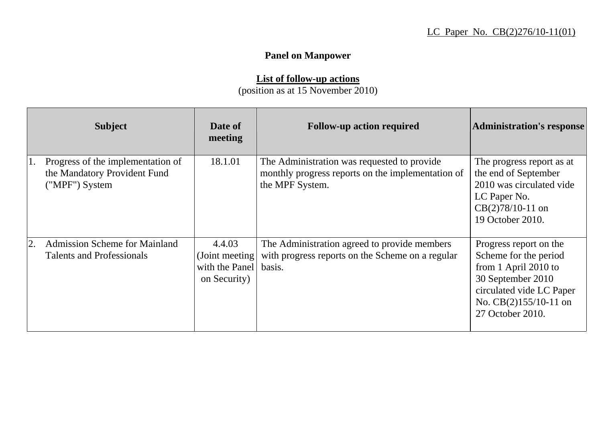## **Panel on Manpower**

## **List of follow-up actions**

(position as at 15 November 2010)

-

|    | <b>Subject</b>                                                                      | Date of<br>meeting                                         | <b>Follow-up action required</b>                                                                                    | <b>Administration's response</b>                                                                                                                                        |
|----|-------------------------------------------------------------------------------------|------------------------------------------------------------|---------------------------------------------------------------------------------------------------------------------|-------------------------------------------------------------------------------------------------------------------------------------------------------------------------|
|    | Progress of the implementation of<br>the Mandatory Provident Fund<br>("MPF") System | 18.1.01                                                    | The Administration was requested to provide<br>monthly progress reports on the implementation of<br>the MPF System. | The progress report as at<br>the end of September<br>2010 was circulated vide<br>LC Paper No.<br>$CB(2)78/10-11$ on<br>19 October 2010.                                 |
| 2. | <b>Admission Scheme for Mainland</b><br><b>Talents and Professionals</b>            | 4.4.03<br>(Joint meeting<br>with the Panel<br>on Security) | The Administration agreed to provide members<br>with progress reports on the Scheme on a regular<br>basis.          | Progress report on the<br>Scheme for the period<br>from 1 April 2010 to<br>30 September 2010<br>circulated vide LC Paper<br>No. $CB(2)155/10-11$ on<br>27 October 2010. |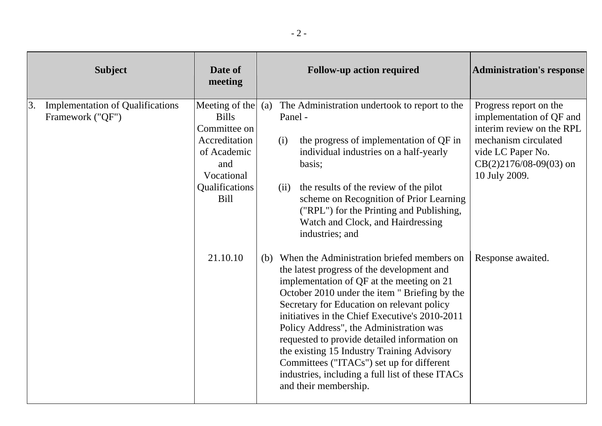| <b>Subject</b>                                                    | Date of<br>meeting                                                                                                                         | <b>Follow-up action required</b>                                                                                                                                                                                                                                                                                                                                                                                                                                                                                                                              | <b>Administration's response</b>                                                                                                                                          |
|-------------------------------------------------------------------|--------------------------------------------------------------------------------------------------------------------------------------------|---------------------------------------------------------------------------------------------------------------------------------------------------------------------------------------------------------------------------------------------------------------------------------------------------------------------------------------------------------------------------------------------------------------------------------------------------------------------------------------------------------------------------------------------------------------|---------------------------------------------------------------------------------------------------------------------------------------------------------------------------|
| 3.<br><b>Implementation of Qualifications</b><br>Framework ("QF") | Meeting of the $(a)$<br><b>Bills</b><br>Committee on<br>Accreditation<br>of Academic<br>and<br>Vocational<br>Qualifications<br><b>Bill</b> | The Administration undertook to report to the<br>Panel -<br>the progress of implementation of QF in<br>(i)<br>individual industries on a half-yearly<br>basis;<br>the results of the review of the pilot<br>(ii)<br>scheme on Recognition of Prior Learning<br>("RPL") for the Printing and Publishing,<br>Watch and Clock, and Hairdressing<br>industries; and                                                                                                                                                                                               | Progress report on the<br>implementation of QF and<br>interim review on the RPL<br>mechanism circulated<br>vide LC Paper No.<br>$CB(2)2176/08-09(03)$ on<br>10 July 2009. |
|                                                                   | 21.10.10                                                                                                                                   | (b) When the Administration briefed members on<br>the latest progress of the development and<br>implementation of QF at the meeting on 21<br>October 2010 under the item " Briefing by the<br>Secretary for Education on relevant policy<br>initiatives in the Chief Executive's 2010-2011<br>Policy Address", the Administration was<br>requested to provide detailed information on<br>the existing 15 Industry Training Advisory<br>Committees ("ITACs") set up for different<br>industries, including a full list of these ITACs<br>and their membership. | Response awaited.                                                                                                                                                         |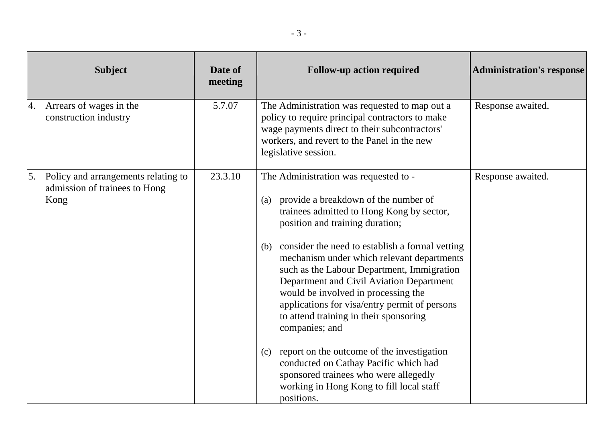| <b>Subject</b>                                                                     | Date of<br>meeting | <b>Follow-up action required</b>                                                                                                                                                                                                                                                                                                                                                                                                                                                                                                                                                                                                                                                                                            | <b>Administration's response</b> |
|------------------------------------------------------------------------------------|--------------------|-----------------------------------------------------------------------------------------------------------------------------------------------------------------------------------------------------------------------------------------------------------------------------------------------------------------------------------------------------------------------------------------------------------------------------------------------------------------------------------------------------------------------------------------------------------------------------------------------------------------------------------------------------------------------------------------------------------------------------|----------------------------------|
| Arrears of wages in the<br>4.<br>construction industry                             | 5.7.07             | The Administration was requested to map out a<br>policy to require principal contractors to make<br>wage payments direct to their subcontractors'<br>workers, and revert to the Panel in the new<br>legislative session.                                                                                                                                                                                                                                                                                                                                                                                                                                                                                                    | Response awaited.                |
| Policy and arrangements relating to<br>5.<br>admission of trainees to Hong<br>Kong | 23.3.10            | The Administration was requested to -<br>provide a breakdown of the number of<br>(a)<br>trainees admitted to Hong Kong by sector,<br>position and training duration;<br>consider the need to establish a formal vetting<br>(b)<br>mechanism under which relevant departments<br>such as the Labour Department, Immigration<br>Department and Civil Aviation Department<br>would be involved in processing the<br>applications for visa/entry permit of persons<br>to attend training in their sponsoring<br>companies; and<br>report on the outcome of the investigation<br>(c)<br>conducted on Cathay Pacific which had<br>sponsored trainees who were allegedly<br>working in Hong Kong to fill local staff<br>positions. | Response awaited.                |